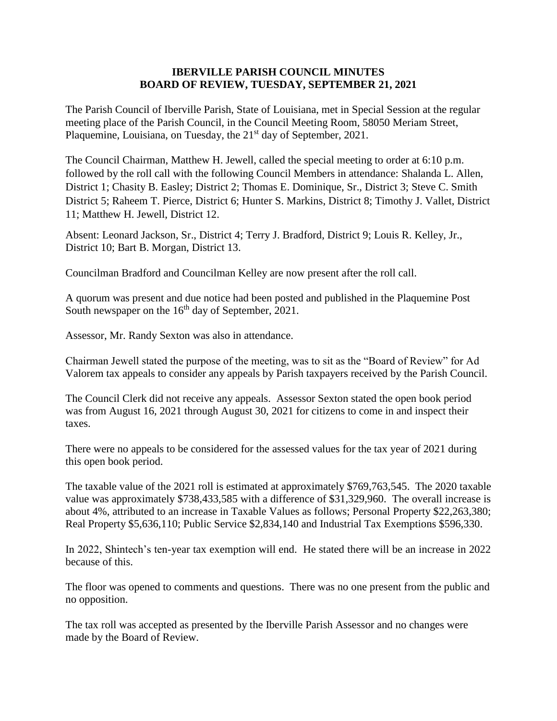## **IBERVILLE PARISH COUNCIL MINUTES BOARD OF REVIEW, TUESDAY, SEPTEMBER 21, 2021**

The Parish Council of Iberville Parish, State of Louisiana, met in Special Session at the regular meeting place of the Parish Council, in the Council Meeting Room, 58050 Meriam Street, Plaquemine, Louisiana, on Tuesday, the 21<sup>st</sup> day of September, 2021.

The Council Chairman, Matthew H. Jewell, called the special meeting to order at 6:10 p.m. followed by the roll call with the following Council Members in attendance: Shalanda L. Allen, District 1; Chasity B. Easley; District 2; Thomas E. Dominique, Sr., District 3; Steve C. Smith District 5; Raheem T. Pierce, District 6; Hunter S. Markins, District 8; Timothy J. Vallet, District 11; Matthew H. Jewell, District 12.

Absent: Leonard Jackson, Sr., District 4; Terry J. Bradford, District 9; Louis R. Kelley, Jr., District 10; Bart B. Morgan, District 13.

Councilman Bradford and Councilman Kelley are now present after the roll call.

A quorum was present and due notice had been posted and published in the Plaquemine Post South newspaper on the  $16<sup>th</sup>$  day of September, 2021.

Assessor, Mr. Randy Sexton was also in attendance.

Chairman Jewell stated the purpose of the meeting, was to sit as the "Board of Review" for Ad Valorem tax appeals to consider any appeals by Parish taxpayers received by the Parish Council.

The Council Clerk did not receive any appeals. Assessor Sexton stated the open book period was from August 16, 2021 through August 30, 2021 for citizens to come in and inspect their taxes.

There were no appeals to be considered for the assessed values for the tax year of 2021 during this open book period.

The taxable value of the 2021 roll is estimated at approximately \$769,763,545. The 2020 taxable value was approximately \$738,433,585 with a difference of \$31,329,960. The overall increase is about 4%, attributed to an increase in Taxable Values as follows; Personal Property \$22,263,380; Real Property \$5,636,110; Public Service \$2,834,140 and Industrial Tax Exemptions \$596,330.

In 2022, Shintech's ten-year tax exemption will end. He stated there will be an increase in 2022 because of this.

The floor was opened to comments and questions. There was no one present from the public and no opposition.

The tax roll was accepted as presented by the Iberville Parish Assessor and no changes were made by the Board of Review.